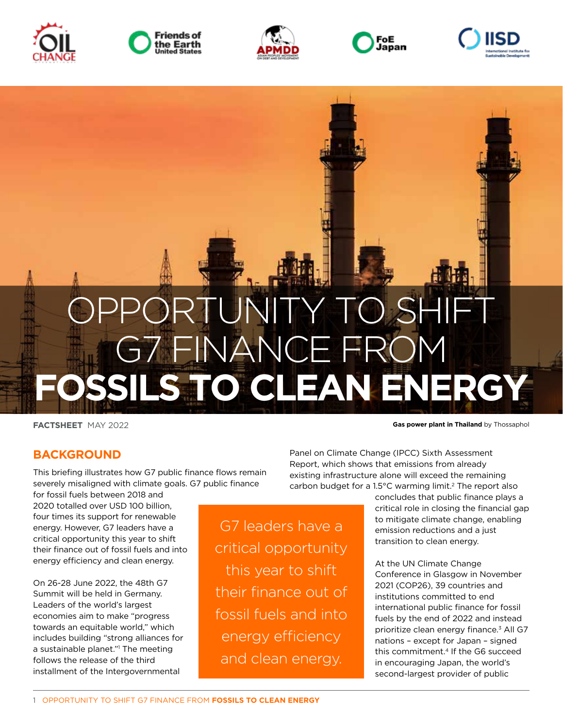











**FACTSHEET** MAY 2022

**Gas power plant in Thailand** by Thossaphol

## **BACKGROUND**

This briefing illustrates how G7 public finance flows remain severely misaligned with climate goals. G7 public finance

for fossil fuels between 2018 and 2020 totalled over USD 100 billion, four times its support for renewable energy. However, G7 leaders have a critical opportunity this year to shift their finance out of fossil fuels and into energy efficiency and clean energy.

On 26-28 June 2022, the 48th G7 Summit will be held in Germany. Leaders of the world's largest economies aim to make "progress towards an equitable world," which includes building "strong alliances for a sustainable planet."1 The meeting follows the release of the third installment of the Intergovernmental

G7 leaders have a critical opportunity this year to shift their finance out of fossil fuels and into energy efficiency and clean energy.

Panel on Climate Change (IPCC) Sixth Assessment Report, which shows that emissions from already existing infrastructure alone will exceed the remaining carbon budget for a 1.5°C warming limit.2 The report also

concludes that public finance plays a critical role in closing the financial gap to mitigate climate change, enabling emission reductions and a just transition to clean energy.

At the UN Climate Change Conference in Glasgow in November 2021 (COP26), 39 countries and institutions committed to end international public finance for fossil fuels by the end of 2022 and instead prioritize clean energy finance.<sup>3</sup> All G7 nations – except for Japan – signed this commitment.4 If the G6 succeed in encouraging Japan, the world's second-largest provider of public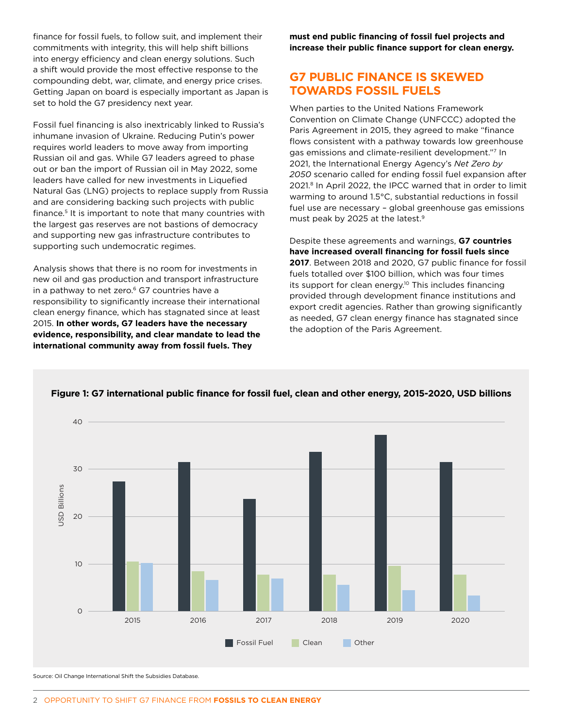finance for fossil fuels, to follow suit, and implement their commitments with integrity, this will help shift billions into energy efficiency and clean energy solutions. Such a shift would provide the most effective response to the compounding debt, war, climate, and energy price crises. Getting Japan on board is especially important as Japan is set to hold the G7 presidency next year.

Fossil fuel financing is also inextricably linked to Russia's inhumane invasion of Ukraine. Reducing Putin's power requires world leaders to move away from importing Russian oil and gas. While G7 leaders agreed to phase out or ban the import of Russian oil in May 2022, some leaders have called for new investments in Liquefied Natural Gas (LNG) projects to replace supply from Russia and are considering backing such projects with public finance.5 It is important to note that many countries with the largest gas reserves are not bastions of democracy and supporting new gas infrastructure contributes to supporting such undemocratic regimes.

Analysis shows that there is no room for investments in new oil and gas production and transport infrastructure in a pathway to net zero. $6$  G7 countries have a responsibility to significantly increase their international clean energy finance, which has stagnated since at least 2015. **In other words, G7 leaders have the necessary evidence, responsibility, and clear mandate to lead the international community away from fossil fuels. They** 

**must end public financing of fossil fuel projects and increase their public finance support for clean energy.**

## **G7 PUBLIC FINANCE IS SKEWED TOWARDS FOSSIL FUELS**

When parties to the United Nations Framework Convention on Climate Change (UNFCCC) adopted the Paris Agreement in 2015, they agreed to make "finance flows consistent with a pathway towards low greenhouse gas emissions and climate-resilient development."7 In 2021, the International Energy Agency's *Net Zero by 2050* scenario called for ending fossil fuel expansion after 2021.8 In April 2022, the IPCC warned that in order to limit warming to around 1.5°C, substantial reductions in fossil fuel use are necessary – global greenhouse gas emissions must peak by 2025 at the latest.9

Despite these agreements and warnings, **G7 countries have increased overall financing for fossil fuels since 2017**. Between 2018 and 2020, G7 public finance for fossil fuels totalled over \$100 billion, which was four times its support for clean energy.<sup>10</sup> This includes financing provided through development finance institutions and export credit agencies. Rather than growing significantly as needed, G7 clean energy finance has stagnated since the adoption of the Paris Agreement.



### **Figure 1: G7 international public finance for fossil fuel, clean and other energy, 2015-2020, USD billions**

Source: Oil Change International Shift the Subsidies Database.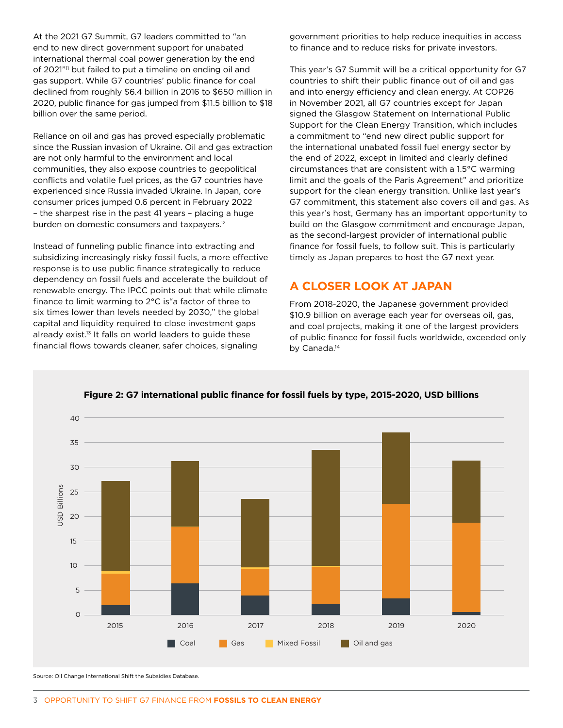At the 2021 G7 Summit, G7 leaders committed to "an end to new direct government support for unabated international thermal coal power generation by the end of 2021"<sup>11</sup> but failed to put a timeline on ending oil and gas support. While G7 countries' public finance for coal declined from roughly \$6.4 billion in 2016 to \$650 million in 2020, public finance for gas jumped from \$11.5 billion to \$18 billion over the same period.

Reliance on oil and gas has proved especially problematic since the Russian invasion of Ukraine. Oil and gas extraction are not only harmful to the environment and local communities, they also expose countries to geopolitical conflicts and volatile fuel prices, as the G7 countries have experienced since Russia invaded Ukraine. In Japan, core consumer prices jumped 0.6 percent in February 2022 – the sharpest rise in the past 41 years – placing a huge burden on domestic consumers and taxpayers.12

Instead of funneling public finance into extracting and subsidizing increasingly risky fossil fuels, a more effective response is to use public finance strategically to reduce dependency on fossil fuels and accelerate the buildout of renewable energy. The IPCC points out that while climate finance to limit warming to 2°C is"a factor of three to six times lower than levels needed by 2030," the global capital and liquidity required to close investment gaps already exist.<sup>13</sup> It falls on world leaders to guide these financial flows towards cleaner, safer choices, signaling

government priorities to help reduce inequities in access to finance and to reduce risks for private investors.

This year's G7 Summit will be a critical opportunity for G7 countries to shift their public finance out of oil and gas and into energy efficiency and clean energy. At COP26 in November 2021, all G7 countries except for Japan signed the Glasgow Statement on International Public Support for the Clean Energy Transition, which includes a commitment to "end new direct public support for the international unabated fossil fuel energy sector by the end of 2022, except in limited and clearly defined circumstances that are consistent with a 1.5°C warming limit and the goals of the Paris Agreement" and prioritize support for the clean energy transition. Unlike last year's G7 commitment, this statement also covers oil and gas. As this year's host, Germany has an important opportunity to build on the Glasgow commitment and encourage Japan, as the second-largest provider of international public finance for fossil fuels, to follow suit. This is particularly timely as Japan prepares to host the G7 next year.

# **A CLOSER LOOK AT JAPAN**

From 2018-2020, the Japanese government provided \$10.9 billion on average each year for overseas oil, gas, and coal projects, making it one of the largest providers of public finance for fossil fuels worldwide, exceeded only by Canada.<sup>14</sup>



**Figure 2: G7 international public finance for fossil fuels by type, 2015-2020, USD billions**

Source: Oil Change International Shift the Subsidies Database.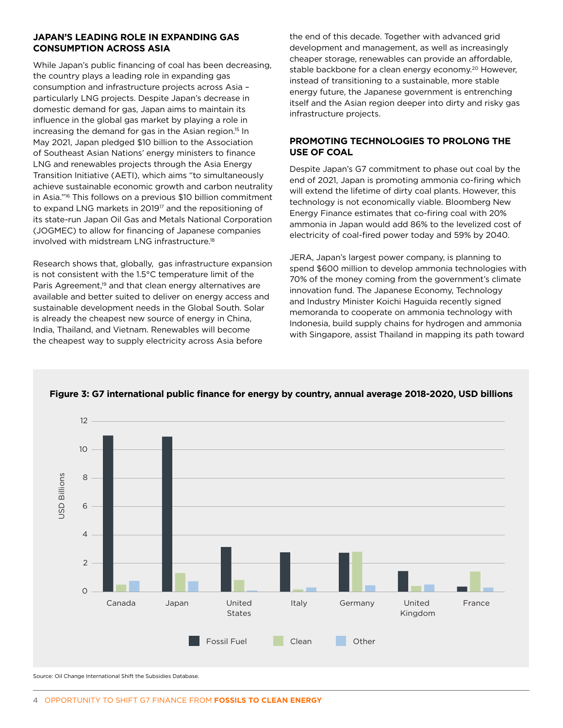#### **JAPAN'S LEADING ROLE IN EXPANDING GAS CONSUMPTION ACROSS ASIA**

While Japan's public financing of coal has been decreasing, the country plays a leading role in expanding gas consumption and infrastructure projects across Asia – particularly LNG projects. Despite Japan's decrease in domestic demand for gas, Japan aims to maintain its influence in the global gas market by playing a role in increasing the demand for gas in the Asian region.<sup>15</sup> In May 2021, Japan pledged \$10 billion to the Association of Southeast Asian Nations' energy ministers to finance LNG and renewables projects through the Asia Energy Transition Initiative (AETI), which aims "to simultaneously achieve sustainable economic growth and carbon neutrality in Asia."16 This follows on a previous \$10 billion commitment to expand LNG markets in 201917 and the repositioning of its state-run Japan Oil Gas and Metals National Corporation (JOGMEC) to allow for financing of Japanese companies involved with midstream LNG infrastructure.18

Research shows that, globally, gas infrastructure expansion is not consistent with the 1.5°C temperature limit of the Paris Agreement,<sup>19</sup> and that clean energy alternatives are available and better suited to deliver on energy access and sustainable development needs in the Global South. Solar is already the cheapest new source of energy in China, India, Thailand, and Vietnam. Renewables will become the cheapest way to supply electricity across Asia before

the end of this decade. Together with advanced grid development and management, as well as increasingly cheaper storage, renewables can provide an affordable, stable backbone for a clean energy economy.<sup>20</sup> However, instead of transitioning to a sustainable, more stable energy future, the Japanese government is entrenching itself and the Asian region deeper into dirty and risky gas infrastructure projects.

### **PROMOTING TECHNOLOGIES TO PROLONG THE USE OF COAL**

Despite Japan's G7 commitment to phase out coal by the end of 2021, Japan is promoting ammonia co-firing which will extend the lifetime of dirty coal plants. However, this technology is not economically viable. Bloomberg New Energy Finance estimates that co-firing coal with 20% ammonia in Japan would add 86% to the levelized cost of electricity of coal-fired power today and 59% by 2040.

JERA, Japan's largest power company, is planning to spend \$600 million to develop ammonia technologies with 70% of the money coming from the government's climate innovation fund. The Japanese Economy, Technology and Industry Minister Koichi Haguida recently signed memoranda to cooperate on ammonia technology with Indonesia, build supply chains for hydrogen and ammonia with Singapore, assist Thailand in mapping its path toward



**Figure 3: G7 international public finance for energy by country, annual average 2018-2020, USD billions**

Source: Oil Change International Shift the Subsidies Database.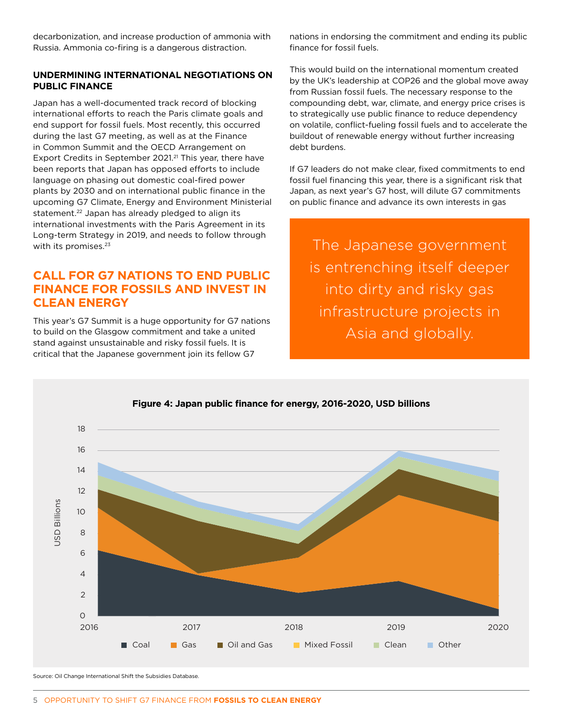decarbonization, and increase production of ammonia with Russia. Ammonia co-firing is a dangerous distraction.

#### **UNDERMINING INTERNATIONAL NEGOTIATIONS ON PUBLIC FINANCE**

Japan has a well-documented track record of blocking international efforts to reach the Paris climate goals and end support for fossil fuels. Most recently, this occurred during the last G7 meeting, as well as at the Finance in Common Summit and the OECD Arrangement on Export Credits in September 2021.<sup>21</sup> This year, there have been reports that Japan has opposed efforts to include language on phasing out domestic coal-fired power plants by 2030 and on international public finance in the upcoming G7 Climate, Energy and Environment Ministerial statement.<sup>22</sup> Japan has already pledged to align its international investments with the Paris Agreement in its Long-term Strategy in 2019, and needs to follow through with its promises.<sup>23</sup>

## **CALL FOR G7 NATIONS TO END PUBLIC FINANCE FOR FOSSILS AND INVEST IN CLEAN ENERGY**

This year's G7 Summit is a huge opportunity for G7 nations to build on the Glasgow commitment and take a united stand against unsustainable and risky fossil fuels. It is critical that the Japanese government join its fellow G7

nations in endorsing the commitment and ending its public finance for fossil fuels.

This would build on the international momentum created by the UK's leadership at COP26 and the global move away from Russian fossil fuels. The necessary response to the compounding debt, war, climate, and energy price crises is to strategically use public finance to reduce dependency on volatile, conflict-fueling fossil fuels and to accelerate the buildout of renewable energy without further increasing debt burdens.

If G7 leaders do not make clear, fixed commitments to end fossil fuel financing this year, there is a significant risk that Japan, as next year's G7 host, will dilute G7 commitments on public finance and advance its own interests in gas

The Japanese government is entrenching itself deeper into dirty and risky gas infrastructure projects in Asia and globally.



### **Figure 4: Japan public finance for energy, 2016-2020, USD billions**

Source: Oil Change International Shift the Subsidies Database.